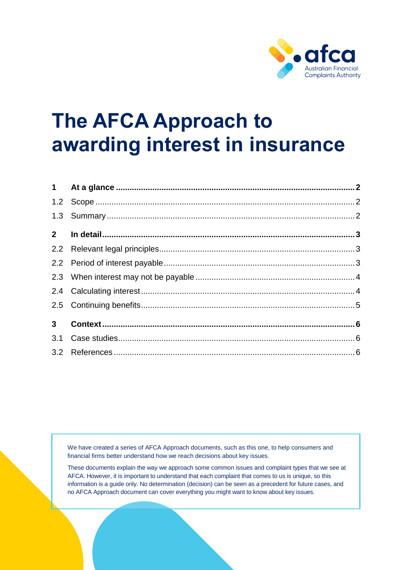

# **The AFCA Approach to awarding interest in insurance**

| 2 <sup>7</sup> |  |
|----------------|--|
|                |  |
|                |  |
|                |  |
|                |  |
|                |  |
| 3 <sup>7</sup> |  |
|                |  |
|                |  |

We have created a series of AFCA Approach documents, such as this one, to help consumers and financial firms better understand how we reach decisions about key issues.

These documents explain the way we approach some common issues and complaint types that we see at AFCA. However, it is important to understand that each complaint that comes to us is unique, so this information is a guide only. No determination (decision) can be seen as a precedent for future cases, and no AFCA Approach document can cover everything you might want to know about key issues.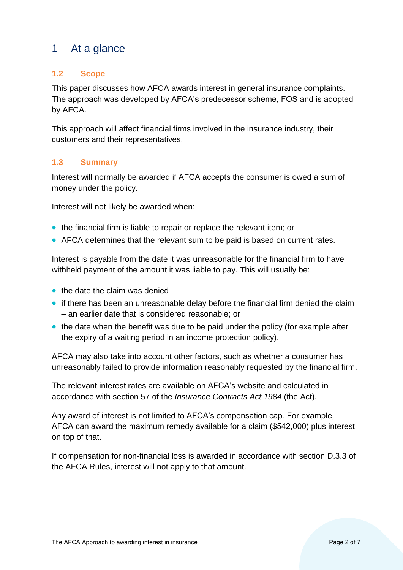# <span id="page-1-0"></span>1 At a glance

## <span id="page-1-1"></span>**1.2 Scope**

This paper discusses how AFCA awards interest in general insurance complaints. The approach was developed by AFCA's predecessor scheme, FOS and is adopted by AFCA.

This approach will affect financial firms involved in the insurance industry, their customers and their representatives.

#### <span id="page-1-2"></span>**1.3 Summary**

Interest will normally be awarded if AFCA accepts the consumer is owed a sum of money under the policy.

Interest will not likely be awarded when:

- the financial firm is liable to repair or replace the relevant item; or
- AFCA determines that the relevant sum to be paid is based on current rates.

Interest is payable from the date it was unreasonable for the financial firm to have withheld payment of the amount it was liable to pay. This will usually be:

- the date the claim was denied
- if there has been an unreasonable delay before the financial firm denied the claim – an earlier date that is considered reasonable; or
- the date when the benefit was due to be paid under the policy (for example after the expiry of a waiting period in an income protection policy).

AFCA may also take into account other factors, such as whether a consumer has unreasonably failed to provide information reasonably requested by the financial firm.

The relevant interest rates are available on AFCA's website and calculated in accordance with section 57 of the *Insurance Contracts Act 1984* (the Act).

Any award of interest is not limited to AFCA's compensation cap. For example, AFCA can award the maximum remedy available for a claim (\$542,000) plus interest on top of that.

If compensation for non-financial loss is awarded in accordance with section D.3.3 of the AFCA Rules, interest will not apply to that amount.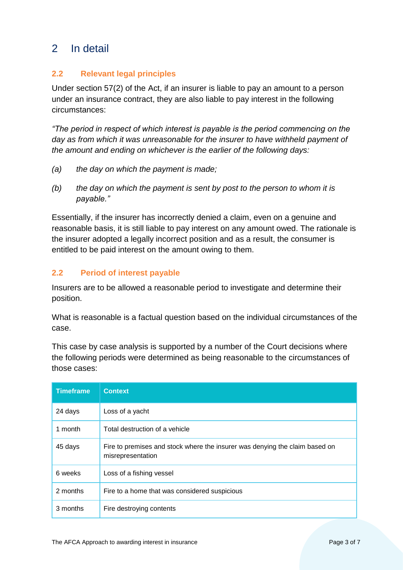# <span id="page-2-0"></span>2 In detail

# <span id="page-2-1"></span>**2.2 Relevant legal principles**

Under section 57(2) of the Act, if an insurer is liable to pay an amount to a person under an insurance contract, they are also liable to pay interest in the following circumstances:

*"The period in respect of which interest is payable is the period commencing on the day as from which it was unreasonable for the insurer to have withheld payment of the amount and ending on whichever is the earlier of the following days:*

- *(a) the day on which the payment is made;*
- *(b) the day on which the payment is sent by post to the person to whom it is payable."*

Essentially, if the insurer has incorrectly denied a claim, even on a genuine and reasonable basis, it is still liable to pay interest on any amount owed. The rationale is the insurer adopted a legally incorrect position and as a result, the consumer is entitled to be paid interest on the amount owing to them.

# <span id="page-2-2"></span>**2.2 Period of interest payable**

Insurers are to be allowed a reasonable period to investigate and determine their position.

What is reasonable is a factual question based on the individual circumstances of the case.

This case by case analysis is supported by a number of the Court decisions where the following periods were determined as being reasonable to the circumstances of those cases:

| <b>Timeframe</b> | <b>Context</b>                                                                                   |
|------------------|--------------------------------------------------------------------------------------------------|
| 24 days          | Loss of a yacht                                                                                  |
| 1 month          | Total destruction of a vehicle                                                                   |
| 45 days          | Fire to premises and stock where the insurer was denying the claim based on<br>misrepresentation |
| 6 weeks          | Loss of a fishing vessel                                                                         |
| 2 months         | Fire to a home that was considered suspicious                                                    |
| 3 months         | Fire destroying contents                                                                         |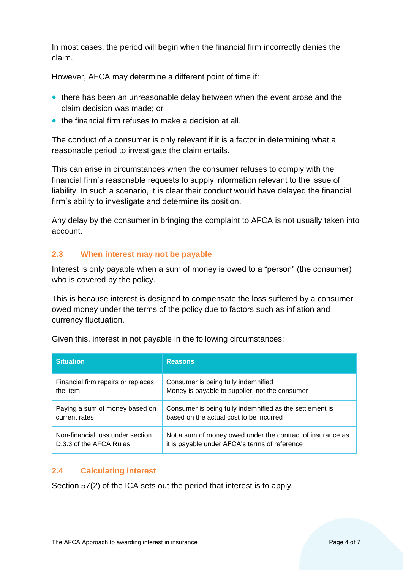In most cases, the period will begin when the financial firm incorrectly denies the claim.

However, AFCA may determine a different point of time if:

- there has been an unreasonable delay between when the event arose and the claim decision was made; or
- the financial firm refuses to make a decision at all.

The conduct of a consumer is only relevant if it is a factor in determining what a reasonable period to investigate the claim entails.

This can arise in circumstances when the consumer refuses to comply with the financial firm's reasonable requests to supply information relevant to the issue of liability. In such a scenario, it is clear their conduct would have delayed the financial firm's ability to investigate and determine its position.

Any delay by the consumer in bringing the complaint to AFCA is not usually taken into account.

# <span id="page-3-0"></span>**2.3 When interest may not be payable**

Interest is only payable when a sum of money is owed to a "person" (the consumer) who is covered by the policy.

This is because interest is designed to compensate the loss suffered by a consumer owed money under the terms of the policy due to factors such as inflation and currency fluctuation.

| <b>Situation</b>                   | <b>Reasons</b>                                             |
|------------------------------------|------------------------------------------------------------|
| Financial firm repairs or replaces | Consumer is being fully indemnified                        |
| the item                           | Money is payable to supplier, not the consumer             |
| Paying a sum of money based on     | Consumer is being fully indemnified as the settlement is   |
| current rates                      | based on the actual cost to be incurred                    |
| Non-financial loss under section   | Not a sum of money owed under the contract of insurance as |
| D.3.3 of the AFCA Rules            | it is payable under AFCA's terms of reference              |

Given this, interest in not payable in the following circumstances:

#### <span id="page-3-1"></span>**2.4 Calculating interest**

Section 57(2) of the ICA sets out the period that interest is to apply.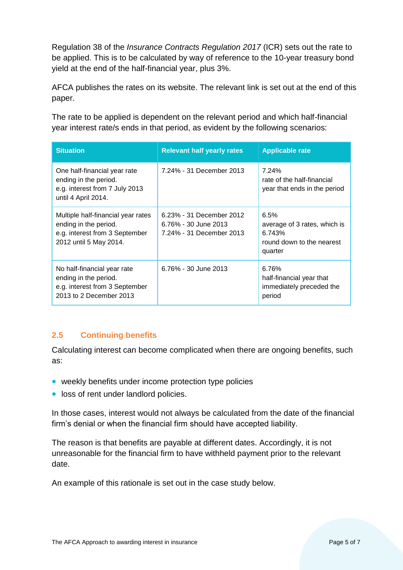Regulation 38 of the *Insurance Contracts Regulation 2017* (ICR) sets out the rate to be applied. This is to be calculated by way of reference to the 10-year treasury bond yield at the end of the half-financial year, plus 3%.

AFCA publishes the rates on its website. The relevant link is set out at the end of this paper.

The rate to be applied is dependent on the relevant period and which half-financial year interest rate/s ends in that period, as evident by the following scenarios:

| <b>Situation</b>                                                                                                        | <b>Relevant half yearly rates</b>                                            | <b>Applicable rate</b>                                                                 |
|-------------------------------------------------------------------------------------------------------------------------|------------------------------------------------------------------------------|----------------------------------------------------------------------------------------|
| One half-financial year rate<br>ending in the period.<br>e.g. interest from 7 July 2013<br>until 4 April 2014.          | 7.24% - 31 December 2013                                                     | 7.24%<br>rate of the half-financial<br>year that ends in the period                    |
| Multiple half-financial year rates<br>ending in the period.<br>e.g. interest from 3 September<br>2012 until 5 May 2014. | 6.23% - 31 December 2012<br>6.76% - 30 June 2013<br>7.24% - 31 December 2013 | 6.5%<br>average of 3 rates, which is<br>6.743%<br>round down to the nearest<br>quarter |
| No half-financial year rate<br>ending in the period.<br>e.g. interest from 3 September<br>2013 to 2 December 2013       | 6.76% - 30 June 2013                                                         | 6.76%<br>half-financial year that<br>immediately preceded the<br>period                |

# <span id="page-4-0"></span>**2.5 Continuing benefits**

Calculating interest can become complicated when there are ongoing benefits, such as:

- weekly benefits under income protection type policies
- loss of rent under landlord policies.

In those cases, interest would not always be calculated from the date of the financial firm's denial or when the financial firm should have accepted liability.

The reason is that benefits are payable at different dates. Accordingly, it is not unreasonable for the financial firm to have withheld payment prior to the relevant date.

An example of this rationale is set out in the case study below.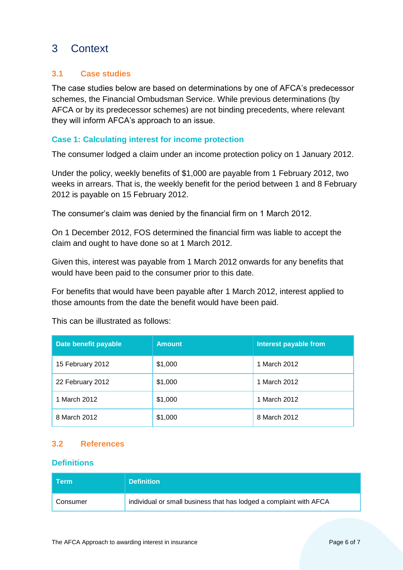# <span id="page-5-0"></span>3 Context

# <span id="page-5-1"></span>**3.1 Case studies**

The case studies below are based on determinations by one of AFCA's predecessor schemes, the Financial Ombudsman Service. While previous determinations (by AFCA or by its predecessor schemes) are not binding precedents, where relevant they will inform AFCA's approach to an issue.

#### **Case 1: Calculating interest for income protection**

The consumer lodged a claim under an income protection policy on 1 January 2012.

Under the policy, weekly benefits of \$1,000 are payable from 1 February 2012, two weeks in arrears. That is, the weekly benefit for the period between 1 and 8 February 2012 is payable on 15 February 2012.

The consumer's claim was denied by the financial firm on 1 March 2012.

On 1 December 2012, FOS determined the financial firm was liable to accept the claim and ought to have done so at 1 March 2012.

Given this, interest was payable from 1 March 2012 onwards for any benefits that would have been paid to the consumer prior to this date.

For benefits that would have been payable after 1 March 2012, interest applied to those amounts from the date the benefit would have been paid.

| Date benefit payable | <b>Amount</b> | <b>Interest payable from</b> |
|----------------------|---------------|------------------------------|
| 15 February 2012     | \$1,000       | 1 March 2012                 |
| 22 February 2012     | \$1,000       | 1 March 2012                 |
| 1 March 2012         | \$1,000       | 1 March 2012                 |
| 8 March 2012         | \$1,000       | 8 March 2012                 |

This can be illustrated as follows:

#### <span id="page-5-2"></span>**3.2 References**

#### **Definitions**

| $\sf Term^*$ | <b>Definition</b>                                                  |
|--------------|--------------------------------------------------------------------|
| Consumer     | individual or small business that has lodged a complaint with AFCA |